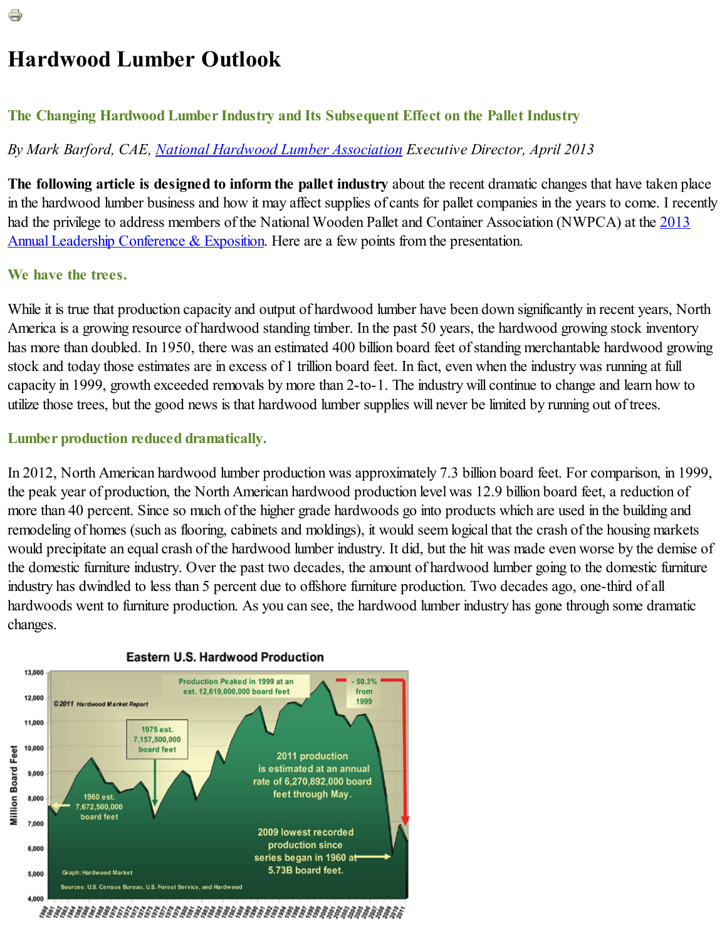# Hardwood Lumber Outlook

## The Changing Hardwood Lumber Industry and Its Subsequent Effect on the Pallet Industry

# *By Mark Barford, CAE, National Hardwood Lumber [Association](http://nhla.com/) Executive Director, April 2013*

The following article is designed to inform the pallet industry about the recent dramatic changes that have taken place in the hardwood lumber business and how it may affect supplies of cants for pallet companies in the years to come. I recently had the privilege to address members of the National Wooden Pallet and Container Association (NWPCA) at the 2013 Annual Leadership Conference & Exposition. Here are a few points from the [presentation.](http://palletcentral.com/annual-leadership-conference)

# We have the trees.

While it is true that production capacity and output of hardwood lumber have been down significantly in recent years, North America is a growing resource of hardwood standing timber. In the past 50 years, the hardwood growing stock inventory has more than doubled. In 1950, there was an estimated 400 billion board feet of standing merchantable hardwood growing stock and today those estimates are in excess of 1 trillion board feet. In fact, even when the industry was running at full capacity in 1999, growth exceeded removals by more than 2-to-1. The industry will continue to change and learn how to utilize those trees, but the good news is that hardwood lumber supplies will never be limited by running out of trees.

# Lumber production reduced dramatically.

In 2012, North American hardwood lumber production was approximately 7.3 billion board feet. For comparison, in 1999, the peak year of production, the North American hardwood production level was 12.9 billion board feet, a reduction of more than 40 percent. Since so much of the higher grade hardwoods go into products which are used in the building and remodeling of homes (such as flooring, cabinets and moldings), it would seem logical that the crash of the housing markets would precipitate an equal crash of the hardwood lumber industry. It did, but the hit was made even worse by the demise of the domestic furniture industry. Over the past two decades, the amount of hardwood lumber going to the domestic furniture industry has dwindled to less than 5 percent due to offshore furniture production. Two decades ago, one-third of all hardwoods went to furniture production. As you can see, the hardwood lumber industry has gone through some dramatic changes.



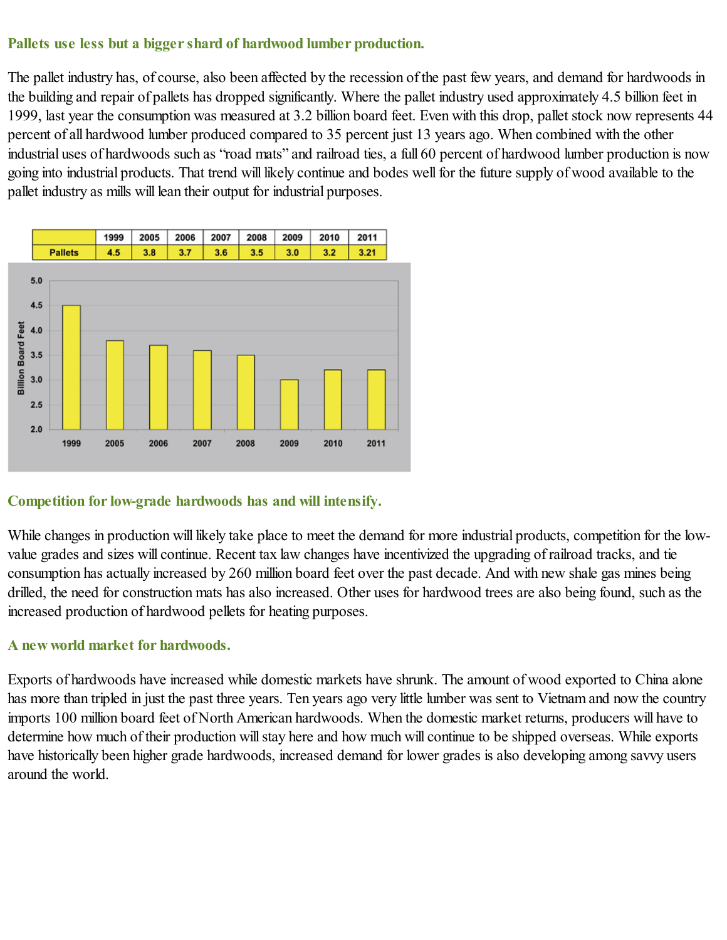## Pallets use less but a bigger shard of hardwood lumber production.

The pallet industry has, of course, also been affected by the recession of the past few years, and demand for hardwoods in the building and repair of pallets has dropped significantly. Where the pallet industry used approximately 4.5 billion feet in 1999, last year the consumption was measured at 3.2 billion board feet. Even with this drop, pallet stock now represents 44 percent of all hardwood lumber produced compared to 35 percent just 13 years ago. When combined with the other industrial uses of hardwoods such as "road mats" and railroad ties, a full 60 percent of hardwood lumber production is now going into industrial products. That trend will likely continue and bodes wellfor the future supply of wood available to the pallet industry as mills will lean their output for industrial purposes.



## Competition for low-grade hardwoods has and will intensify.

While changes in production will likely take place to meet the demand for more industrial products, competition for the lowvalue grades and sizes will continue. Recent tax law changes have incentivized the upgrading of railroad tracks, and tie consumption has actually increased by 260 million board feet over the past decade. And with new shale gas mines being drilled, the need for construction mats has also increased. Other uses for hardwood trees are also being found, such as the increased production of hardwood pellets for heating purposes.

## A new world market for hardwoods.

Exports of hardwoods have increased while domestic markets have shrunk. The amount of wood exported to China alone has more than tripled in just the past three years. Ten years ago very little lumber was sent to Vietnam and now the country imports 100 million board feet of North American hardwoods. When the domestic market returns, producers will have to determine how much of their production will stay here and how much will continue to be shipped overseas. While exports have historically been higher grade hardwoods, increased demand for lower grades is also developing among savvy users around the world.